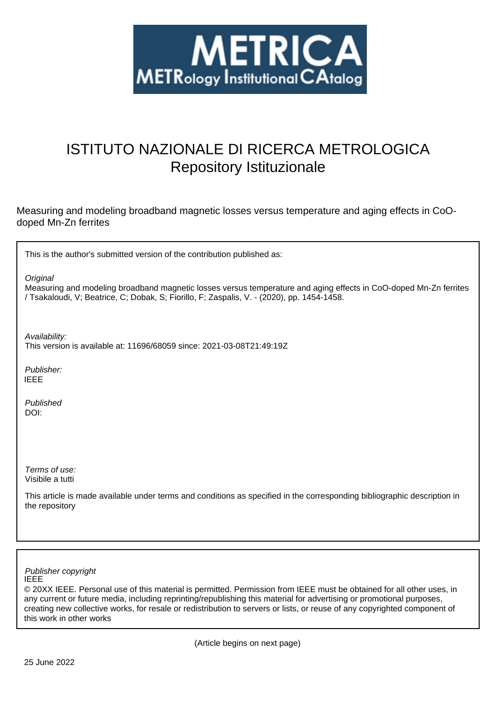

## ISTITUTO NAZIONALE DI RICERCA METROLOGICA Repository Istituzionale

Measuring and modeling broadband magnetic losses versus temperature and aging effects in CoOdoped Mn-Zn ferrites

This is the author's submitted version of the contribution published as:

**Original** 

Measuring and modeling broadband magnetic losses versus temperature and aging effects in CoO-doped Mn-Zn ferrites / Tsakaloudi, V; Beatrice, C; Dobak, S; Fiorillo, F; Zaspalis, V. - (2020), pp. 1454-1458.

Availability:

This version is available at: 11696/68059 since: 2021-03-08T21:49:19Z

Publisher: IEEE

Published DOI:

Terms of use: Visibile a tutti

This article is made available under terms and conditions as specified in the corresponding bibliographic description in the repository

IEEE Publisher copyright

© 20XX IEEE. Personal use of this material is permitted. Permission from IEEE must be obtained for all other uses, in any current or future media, including reprinting/republishing this material for advertising or promotional purposes, creating new collective works, for resale or redistribution to servers or lists, or reuse of any copyrighted component of this work in other works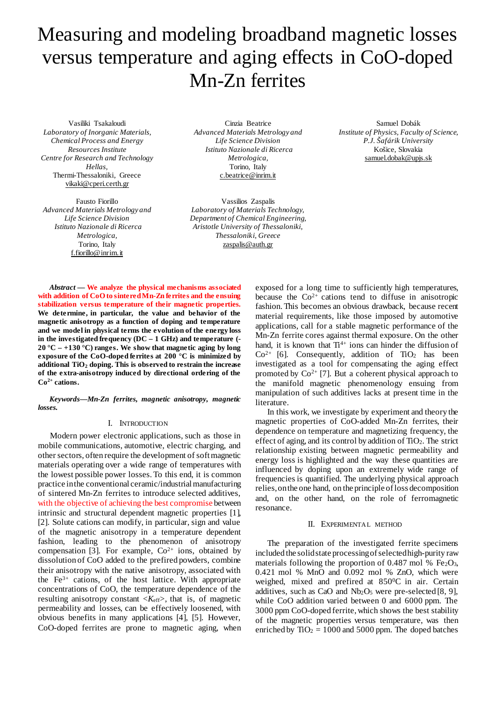# Measuring and modeling broadband magnetic losses versus temperature and aging effects in CoO-doped Mn-Zn ferrites

Vasiliki Tsakaloudi *Laboratory of Inorganic Materials, Chemical Process and Energy Resources Institute Centre for Research and Technology Hellas,* Thermi-Thessaloniki, Greece [vikaki@cperi.certh.gr](mailto:vikaki@cperi.certh.gr)

Fausto Fiorillo *Advanced Materials Metrology and Life Science Division Istituto Nazionale di Ricerca Metrologica,* Torino, Italy [f.fiorillo@inrim.it](mailto:f.fiorillo@inrim.it)

Cinzia Beatrice *Advanced Materials Metrology and Life Science Division Istituto Nazionale di Ricerca Metrologica,* Torino, Italy [c.beatrice@inrim.it](mailto:c.beatrice@inrim.it)

Vassilios Zaspalis *Laboratory of Materials Technology, Department of Chemical Engineering, Aristotle University of Thessaloniki, Thessaloniki, Greece* zaspalis@auth.gr

Samuel Dobák *Institute of Physics, Faculty of Science, P.J. Šafárik University* Košice, Slovakia samuel.dobak@upjs.sk

*Abstract* **— We analyze the physical mechanisms associated with addition of CoO to sinteredMn-Zn ferrites and the ensuing stabilization versus temperature of their magnetic properties. We determine, in particular, the value and behavior of the magnetic anisotropy as a function of doping and temperature and we model in physical terms the evolution of the energy loss in the investigated frequency (DC – 1 GHz) and temperature (- 20 °C – +130 °C) ranges. We show that magnetic aging by long exposure of the CoO-doped ferrites at 200 °C is minimized by additional TiO2 doping. This is observed to restrain the increase of the extra-anisotropy induced by directional ordering of the Co2+ cations.** 

*Keywords—Mn-Zn ferrites, magnetic anisotropy, magnetic losses.* 

### I. INTRODUCTION

Modern power electronic applications, such as those in mobile communications, automotive, electric charging, and other sectors, often require the development of soft magnetic materials operating over a wide range of temperatures with the lowest possible power losses. To this end, it is common practice in the conventional ceramic/industrial manufacturing of sintered Mn-Zn ferrites to introduce selected additives, with the objective of achieving the best compromise between intrinsic and structural dependent magnetic properties [1], [2]. Solute cations can modify, in particular, sign and value of the magnetic anisotropy in a temperature dependent fashion, leading to the phenomenon of anisotropy compensation [3]. For example,  $Co<sup>2+</sup>$  ions, obtained by dissolution of CoO added to the prefired powders, combine their anisotropy with the native anisotropy, associated with the  $Fe<sup>3+</sup>$  cations, of the host lattice. With appropriate concentrations of CoO, the temperature dependence of the resulting anisotropy constant <*K*eff>, that is, of magnetic permeability and losses, can be effectively loosened, with obvious benefits in many applications [4], [5]. However, CoO-doped ferrites are prone to magnetic aging, when exposed for a long time to sufficiently high temperatures, because the  $Co^{2+}$  cations tend to diffuse in anisotropic fashion. This becomes an obvious drawback, because recent material requirements, like those imposed by automotive applications, call for a stable magnetic performance of the Mn-Zn ferrite cores against thermal exposure. On the other hand, it is known that  $Ti^{4+}$  ions can hinder the diffusion of  $Co<sup>2+</sup>$  [6]. Consequently, addition of TiO<sub>2</sub> has been investigated as a tool for compensating the aging effect promoted by  $Co^{2+}$  [7]. But a coherent physical approach to the manifold magnetic phenomenology ensuing from manipulation of such additives lacks at present time in the literature.

In this work, we investigate by experiment and theory the magnetic properties of CoO-added Mn-Zn ferrites, their dependence on temperature and magnetizing frequency, the effect of aging, and its control by addition of  $TiO<sub>2</sub>$ . The strict relationship existing between magnetic permeability and energy loss is highlighted and the way these quantities are influenced by doping upon an extremely wide range of frequencies is quantified. The underlying physical approach relies, on the one hand, on the principle of loss decomposition and, on the other hand, on the role of ferromagnetic resonance.

### II. EXPERIMENTAL METHOD

The preparation of the investigated ferrite specimens included the solid state processing of selected high-purity raw materials following the proportion of 0.487 mol %  $Fe<sub>2</sub>O<sub>3</sub>$ , 0.421 mol % MnO and 0.092 mol % ZnO, which were weighed, mixed and prefired at 850°C in air. Certain additives, such as CaO and  $Nb<sub>2</sub>O<sub>5</sub>$  were pre-selected [8, 9], while CoO addition varied between 0 and 6000 ppm. The 3000 ppm CoO-doped ferrite, which shows the best stability of the magnetic properties versus temperature, was then enriched by  $TiO<sub>2</sub> = 1000$  and 5000 ppm. The doped batches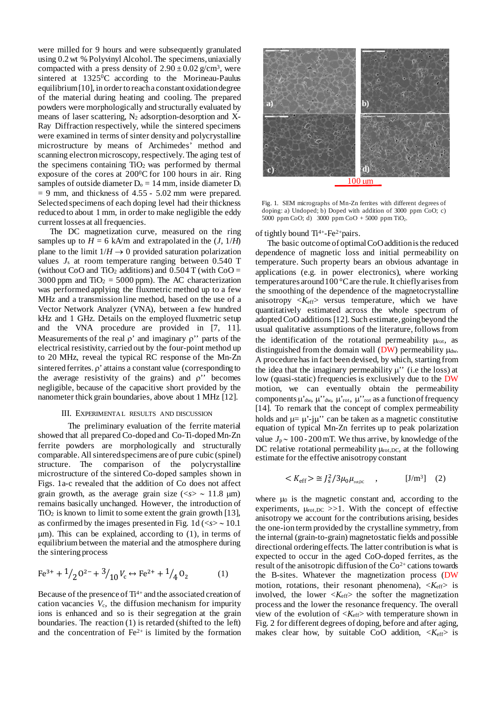were milled for 9 hours and were subsequently granulated using 0.2 wt % Polyvinyl Alcohol. The specimens, uniaxially compacted with a press density of  $2.90 \pm 0.02$  g/cm<sup>3</sup>, were sintered at  $1325\text{°C}$  according to the Morineau-Paulus equilibrium[10], in order to reach a constant oxidation degree of the material during heating and cooling. The prepared powders were morphologically and structurally evaluated by means of laser scattering,  $N_2$  adsorption-desorption and X-Ray Diffraction respectively, while the sintered specimens were examined in terms of sinter density and polycrystalline microstructure by means of Archimedes' method and scanning electron microscopy, respectively. The aging test of the specimens containing  $TiO<sub>2</sub>$  was performed by thermal exposure of the cores at  $200^{\circ}$ C for 100 hours in air. Ring samples of outside diameter  $D_0 = 14$  mm, inside diameter  $D_i$  $= 9$  mm, and thickness of 4.55 - 5.02 mm were prepared. Selected specimens of each doping level had their thickness reduced to about 1 mm, in order to make negligible the eddy current losses at all frequencies.

The DC magnetization curve, measured on the ring samples up to  $H = 6$  kA/m and extrapolated in the  $(J, 1/H)$ plane to the limit  $1/H \rightarrow 0$  provided saturation polarization values *J*<sup>s</sup> at room temperature ranging between 0.540 T (without CoO and TiO<sub>2</sub> additions) and  $0.504$  T (with CoO = 3000 ppm and  $TiO<sub>2</sub> = 5000$  ppm). The AC characterization was performed applying the fluxmetric method up to a few MHz and a transmission line method, based on the use of a Vector Network Analyzer (VNA), between a few hundred kHz and 1 GHz. Details on the employed fluxmetric setup and the VNA procedure are provided in [7, 11]. Measurements of the real  $\rho'$  and imaginary  $\rho''$  parts of the electrical resistivity, carried out by the four-point method up to 20 MHz, reveal the typical RC response of the Mn-Zn sintered ferrites. ρ' attains a constant value (corresponding to the average resistivity of the grains) and  $\rho$ " becomes negligible, because of the capacitive short provided by the nanometer thick grain boundaries, above about 1 MHz [12].

#### III. EXPERIMENTAL RESULTS AND DISCUSSION

The preliminary evaluation of the ferrite material showed that all prepared Co-doped and Co-Ti-doped Mn-Zn ferrite powders are morphologically and structurally comparable. All sintered specimens are of pure cubic (spinel) structure. The comparison of the polycrystalline microstructure of the sintered Co-doped samples shown in Figs. 1a-c revealed that the addition of Co does not affect grain growth, as the average grain size ( $\langle s \rangle \sim 11.8 \text{ }\mu\text{m}$ ) remains basically unchanged. However, the introduction of  $TiO<sub>2</sub>$  is known to limit to some extent the grain growth [13], as confirmed by the images presented in Fig. 1d (<*s*> ∼ 10.1  $\mu$ m). This can be explained, according to (1), in terms of equilibrium between the material and the atmosphere during the sintering process

$$
\text{Fe}^{3+} + \frac{1}{2} 0^{2-} + \frac{3}{10} V_c \leftrightarrow \text{Fe}^{2+} + \frac{1}{4} 0_2 \tag{1}
$$

Because of the presence of  $Ti^{4+}$  and the associated creation of cation vacancies *V*c, the diffusion mechanism for impurity ions is enhanced and so is their segregation at the grain boundaries. The reaction (1) is retarded (shifted to the left) and the concentration of  $Fe<sup>2+</sup>$  is limited by the formation



Fig. 1. SEM micrographs of Mn-Zn ferrites with different degrees of doping: a) Undoped; b) Doped with addition of  $3000$  ppm  $CoO$ ; c) 5000 ppm CoO; d) 3000 ppm CoO + 5000 ppm TiO<sub>2</sub>.

of tightly bound  $Ti^{4+}$ -Fe<sup>2+</sup>pairs.

The basic outcome of optimal CoOaddition is the reduced dependence of magnetic loss and initial permeability on temperature. Such property bears an obvious advantage in applications (e.g. in power electronics), where working temperatures around 100 °C are the rule. It chiefly arises from the smoothing of the dependence of the magnetocrystalline anisotropy  $\langle K_{\text{eff}} \rangle$  versus temperature, which we have quantitatively estimated across the whole spectrum of adopted CoO additions [12]. Such estimate, going beyond the usual qualitative assumptions of the literature, follows from the identification of the rotational permeability  $\mu_{\text{rot}}$ , as distinguished from the domain wall  $(DW)$  permeability  $\mu_{dw}$ . A procedure has in fact been devised, by which, starting from the idea that the imaginary permeability  $\mu$ <sup>"</sup> (i.e the loss) at low (quasi-static) frequencies is exclusively due to the DW motion, we can eventually obtain the permeability components  $\mu'_{dw}$ ,  $\mu'_{dw}$ ,  $\mu'_{rot}$ ,  $\mu''_{rot}$  as a function of frequency [14]. To remark that the concept of complex permeability holds and  $\mu = \mu'$ -j $\mu'$  can be taken as a magnetic constitutive equation of typical Mn-Zn ferrites up to peak polarization value *J*<sup>p</sup> ∼ 100 - 200mT. We thus arrive, by knowledge of the DC relative rotational permeability  $\mu_{\text{rot,DC}}$ , at the following estimate for the effective anisotropy constant

$$
\langle K_{\rm eff} \rangle \cong J_{\rm s}^2 / 3\mu_0 \mu_{\rm rot,DC} \quad , \quad [J/m^3] \quad (2)
$$

where  $\mu_0$  is the magnetic constant and, according to the experiments,  $\mu_{\text{rot,DC}} >> 1$ . With the concept of effective anisotropy we account for the contributions arising, besides the one-ion term provided by the crystalline symmetry, from the internal (grain-to-grain) magnetostatic fields and possible directional ordering effects. The latter contribution is what is expected to occur in the aged CoO-doped ferrites, as the result of the anisotropic diffusion of the  $Co<sup>2+</sup>$  cations towards the B-sites. Whatever the magnetization process (DW motion, rotations, their resonant phenomena), <*K*eff> is involved, the lower  $\langle K_{\text{eff}} \rangle$  the softer the magnetization process and the lower the resonance frequency. The overall view of the evolution of  $\langle K_{\text{eff}} \rangle$  with temperature shown in Fig. 2 for different degrees of doping, before and after aging, makes clear how, by suitable CoO addition,  $\langle K_{\text{eff}} \rangle$  is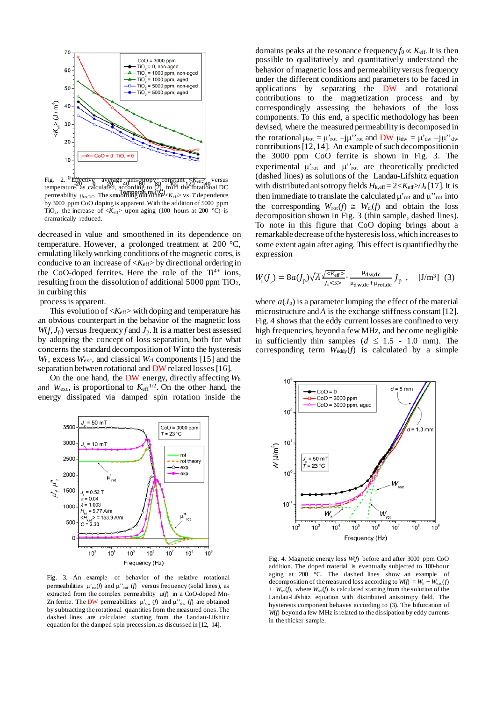

Fig. 2. Effective average anisotropy constant  $K_{eff}$  versus temperature, as calculated, according to  $(2)$ , from the rotational DC permeability  $\mu_{\text{rot,DC}}$ . The smoothing out of the  $K_{\text{eff}}$  vs. *T* dependence by 3000 ppm CoO doping is apparent. With the addition of 5000 ppm TiO<sub>2</sub>, the increase of  $\langle K_{\text{eff}} \rangle$  upon aging (100 hours at 200 °C) is dramatically reduced.

decreased in value and smoothened in its dependence on temperature. However, a prolonged treatment at 200 °C, emulating likely working conditions of the magnetic cores, is conducive to an increase of  $\langle K_{\text{eff}} \rangle$  by directional ordering in the CoO-doped ferrites. Here the role of the  $Ti^{4+}$  ions, resulting from the dissolution of additional 5000 ppm  $TiO<sub>2</sub>$ , in curbing this

process is apparent.

This evolution of  $\langle K_{\text{eff}} \rangle$  with doping and temperature has an obvious counterpart in the behavior of the magnetic loss  $W(f, J_p)$  versus frequency *f* and  $J_p$ . It is a matter best assessed by adopting the concept of loss separation, both for what concerns the standard decomposition of *W* into the hysteresis *W*h, excess *W*exc, and classical *W*cl components [15] and the separation between rotational and DW related losses [16].

On the one hand, the DW energy, directly affecting *W*<sup>h</sup> and  $W_{\text{exc}}$ , is proportional to  $K_{\text{eff}}^{1/2}$ . On the other hand, the energy dissipated via damped spin rotation inside the



Fig. 3. An example of behavior of the relative rotational permeabilities  $\mu'_{\text{rot}}(f)$  and  $\mu''_{\text{rot}}(f)$  versus frequency (solid lines), as extracted from the complex permeability µ(*f*) in a CoO-doped Mn-Zn ferrite. The DW permeabilities  $\mu'_{dw}$  (*f*) and  $\mu''_{dw}$  (*f*) are obtained by subtracting the rotational quantities from the measured ones. The dashed lines are calculated starting from the Landau-Lifshitz equation for the damped spin precession, as discussed in [12, 14].

domains peaks at the resonance frequency  $f_0 \propto K_{\text{eff}}$ . It is then possible to qualitatively and quantitatively understand the behavior of magnetic loss and permeability versus frequency under the different conditions and parameters to be faced in applications by separating the DW and rotational contributions to the magnetization process and by correspondingly assessing the behaviors of the loss components. To this end, a specific methodology has been devised, where the measured permeability is decomposed in the rotational  $\mu_{\text{rot}} = \mu_{\text{rot}} - j\mu_{\text{rot}}$  and DW  $\mu_{dw} = \mu_{dw} - j\mu_{\text{rot}}$ contributions [12, 14]. An example of such decompositionin the 3000 ppm CoO ferrite is shown in Fig. 3. The experimental  $\mu$ <sup>'</sup><sub>rot</sub> and  $\mu$ <sup>'</sup><sup>'</sup><sub>rot</sub> are theoretically predicted (dashed lines) as solutions of the Landau-Lifshitz equation with distributed anisotropy fields  $H_{k,eff} = 2 < K_{eff} > / J_s [17]$ . It is then immediate to translate the calculated  $\mu$ <sup>'</sup><sub>rot</sub> and  $\mu$ <sup>'</sup><sub>rot</sub> into the corresponding  $W_{\text{rot}}(f) \cong W_{\text{cl}}(f)$  and obtain the loss decomposition shown in Fig. 3 (thin sample, dashed lines). To note in this figure that CoO doping brings about a remarkable decrease of the hysteresis loss, which increases to some extent again after aging. This effect is quantified by the expression

$$
W_{\rm h}(J_{\rm p}) = 8a(J_{\rm p})\sqrt{A} \frac{\sqrt{2K_{\rm eff}}}{J_{\rm s}\ll s} \cdot \frac{\mu_{\rm dw, dc}}{\mu_{\rm dw, dc} + \mu_{\rm rot, dc}} J_{\rm p} \quad , \quad [J/\rm{m}^3] \tag{3}
$$

where  $a(J_p)$  is a parameter lumping the effect of the material microstructure and *A* is the exchange stiffness constant [12]. Fig. 4 shows that the eddy current losses are confined to very high frequencies, beyond a few MHz, and become negligible in sufficiently thin samples  $(d \leq 1.5 - 1.0 \text{ mm})$ . The corresponding term  $W_{\text{eddy}}(f)$  is calculated by a simple



Fig. 4. Magnetic energy loss *W*(*f*) before and after 3000 ppm CoO addition. The doped material is eventually subjected to 100-hour aging at 200 °C. The dashed lines show an example of decomposition of the measured loss according to  $W(f) = W_h + W_{\text{exc}}(f)$  $+ W_{rot}(f)$ , where  $W_{rot}(f)$  is calculated starting from the solution of the Landau-Lifshitz equation with distributed anisotropy field. The hysteresis component behaves according to (3). The bifurcation of *W*(*f*) beyond a few MHz is related to the dissipation by eddy currents in the thicker sample.